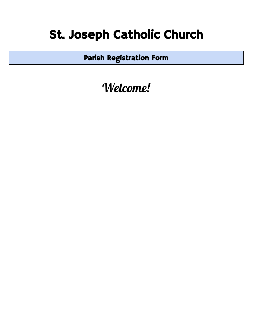## St. Joseph Catholic Church

Parish Registration Form

Welcome!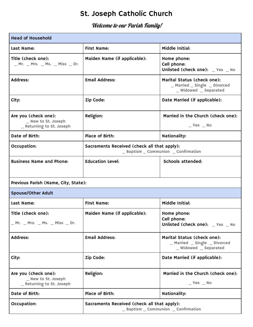## St. Joseph Catholic Church

## Welcome to our Parish Family!

| <b>Head of Household</b>                                                 |                                                                                     |                                                                                       |  |  |
|--------------------------------------------------------------------------|-------------------------------------------------------------------------------------|---------------------------------------------------------------------------------------|--|--|
| Last Name:                                                               | <b>First Name:</b>                                                                  | Middle Initial:                                                                       |  |  |
| Title (check one):<br>_ Mr. _ Mrs. _ Ms. _ Miss _ Dr.                    | Maiden Name (if applicable):                                                        | Home phone:<br>Cell phone:<br>Unlisted (check one): _ Yes _ No                        |  |  |
| Address:                                                                 | <b>Email Address:</b>                                                               | Marital Status (check one):<br>_ Married _ Single _ Divorced<br>_ Widowed _ Separated |  |  |
| City:                                                                    | Zip Code:                                                                           | Date Married (if applicable):                                                         |  |  |
| Are you (check one):<br>_ New to St. Joseph<br>_ Returning to St. Joseph | Religion:                                                                           | Married in the Church (check one):<br>$Yes$ No                                        |  |  |
| Date of Birth:                                                           | Place of Birth:                                                                     | Nationality:                                                                          |  |  |
| Occupation:                                                              | Sacraments Received (check all that apply):<br>_ Baptism _ Communion _ Confirmation |                                                                                       |  |  |
| <b>Business Name and Phone:</b>                                          | <b>Education Level:</b>                                                             | Schools attended:                                                                     |  |  |
| Previous Parish (Name, City, State):                                     |                                                                                     |                                                                                       |  |  |
| <b>Spouse/Other Adult</b>                                                |                                                                                     |                                                                                       |  |  |
| Last Name:                                                               | <b>First Name:</b>                                                                  | Middle Initial:                                                                       |  |  |
| Title (check one):                                                       | Maiden Name (if applicable):                                                        | Home phone:<br>Cell phone:<br>Unlisted (check one): _ Yes _ No                        |  |  |
| Address:                                                                 | <b>Email Address:</b>                                                               | Marital Status (check one):<br>_Married _Single _Divorced<br>_ Widowed _ Separated    |  |  |
| City:                                                                    | Zip Code:                                                                           | Date Married (if applicable):                                                         |  |  |
| Are you (check one):<br>_ New to St. Joseph<br>_ Returning to St. Joseph | Religion:                                                                           | Married in the Church (check one):<br>$Yes$ No                                        |  |  |
| Date of Birth:                                                           | Place of Birth:                                                                     | <b>Nationality:</b>                                                                   |  |  |
| Occupation:                                                              | Sacraments Received (check all that apply):<br>_ Baptism _ Communion _ Confirmation |                                                                                       |  |  |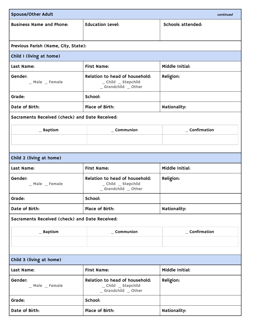| <b>Spouse/Other Adult</b><br>continued         |                                                                              |                   |  |  |
|------------------------------------------------|------------------------------------------------------------------------------|-------------------|--|--|
| <b>Business Name and Phone:</b>                | <b>Education Level:</b>                                                      | Schools attended: |  |  |
|                                                |                                                                              |                   |  |  |
| Previous Parish (Name, City, State):           |                                                                              |                   |  |  |
| Child I (living at home)                       |                                                                              |                   |  |  |
| Last Name:                                     | <b>First Name:</b>                                                           | Middle Initial:   |  |  |
| Gender:<br>_ Male _ Female                     | Relation to head of household:<br>_ Child _ Stepchild<br>_Grandchild _Other  | Religion:         |  |  |
| Grade:                                         | School:                                                                      |                   |  |  |
| Date of Birth:                                 | Place of Birth:                                                              | Nationality:      |  |  |
| Sacraments Received (check) and Date Received: |                                                                              |                   |  |  |
| $\_$ Baptism                                   | $\_$ Communion                                                               | _ Confirmation    |  |  |
|                                                |                                                                              |                   |  |  |
|                                                |                                                                              |                   |  |  |
| Child 2 (living at home)                       |                                                                              |                   |  |  |
| Last Name:                                     | <b>First Name:</b>                                                           | Middle Initial:   |  |  |
| Gender:<br>_ Male _ Female                     | Relation to head of household:<br>_ Child _ Stepchild<br>_Grandchild _Other  | Religion:         |  |  |
| Grade:                                         | School:                                                                      |                   |  |  |
| Date of Birth:                                 | Place of Birth:                                                              | Nationality:      |  |  |
| Sacraments Received (check) and Date Received: |                                                                              |                   |  |  |
| $\_$ Baptism                                   | $\_$ Communion                                                               | _ Confirmation    |  |  |
|                                                |                                                                              |                   |  |  |
|                                                |                                                                              |                   |  |  |
| Child 3 (living at home)                       |                                                                              |                   |  |  |
| Last Name:                                     | <b>First Name:</b>                                                           | Middle Initial:   |  |  |
| Gender:<br>_ Male _ Female                     | Relation to head of household:<br>_ Child _ Stepchild<br>_Grandchild _ Other | Religion:         |  |  |
| Grade:                                         | School:                                                                      |                   |  |  |
| Date of Birth:                                 | Place of Birth:                                                              | Nationality:      |  |  |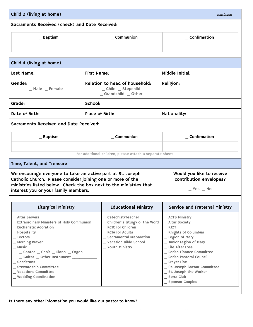| Child 3 (living at home)<br>continued<br>Sacraments Received (check) and Date Received:                                                                                                                                                                                                                                             |                                                                                                                                                                                |                                                                                                                                                                                                                                                                                                                           |  |  |
|-------------------------------------------------------------------------------------------------------------------------------------------------------------------------------------------------------------------------------------------------------------------------------------------------------------------------------------|--------------------------------------------------------------------------------------------------------------------------------------------------------------------------------|---------------------------------------------------------------------------------------------------------------------------------------------------------------------------------------------------------------------------------------------------------------------------------------------------------------------------|--|--|
|                                                                                                                                                                                                                                                                                                                                     |                                                                                                                                                                                |                                                                                                                                                                                                                                                                                                                           |  |  |
|                                                                                                                                                                                                                                                                                                                                     |                                                                                                                                                                                |                                                                                                                                                                                                                                                                                                                           |  |  |
|                                                                                                                                                                                                                                                                                                                                     |                                                                                                                                                                                |                                                                                                                                                                                                                                                                                                                           |  |  |
| Child 4 (living at home)                                                                                                                                                                                                                                                                                                            |                                                                                                                                                                                |                                                                                                                                                                                                                                                                                                                           |  |  |
| Last Name:                                                                                                                                                                                                                                                                                                                          | <b>First Name:</b>                                                                                                                                                             | Middle Initial:                                                                                                                                                                                                                                                                                                           |  |  |
| Gender:<br>_ Male _ Female                                                                                                                                                                                                                                                                                                          | Relation to head of household:<br>_ Child _ Stepchild<br>_Grandchild _Other                                                                                                    | Religion:                                                                                                                                                                                                                                                                                                                 |  |  |
| Grade:                                                                                                                                                                                                                                                                                                                              | School:                                                                                                                                                                        |                                                                                                                                                                                                                                                                                                                           |  |  |
| Date of Birth:                                                                                                                                                                                                                                                                                                                      | Place of Birth:                                                                                                                                                                | Nationality:                                                                                                                                                                                                                                                                                                              |  |  |
| Sacraments Received and Date Received:                                                                                                                                                                                                                                                                                              |                                                                                                                                                                                |                                                                                                                                                                                                                                                                                                                           |  |  |
| $\_$ Baptism                                                                                                                                                                                                                                                                                                                        | $\_$ Communion                                                                                                                                                                 | Confirmation                                                                                                                                                                                                                                                                                                              |  |  |
|                                                                                                                                                                                                                                                                                                                                     |                                                                                                                                                                                |                                                                                                                                                                                                                                                                                                                           |  |  |
|                                                                                                                                                                                                                                                                                                                                     | For additional children, please attach a separate sheet                                                                                                                        |                                                                                                                                                                                                                                                                                                                           |  |  |
| Time, Talent, and Treasure                                                                                                                                                                                                                                                                                                          |                                                                                                                                                                                |                                                                                                                                                                                                                                                                                                                           |  |  |
| We encourage everyone to take an active part at St. Joseph<br>Catholic Church. Please consider joining one or more of the<br>ministries listed below. Check the box next to the ministries that<br>interest you or your family members.                                                                                             |                                                                                                                                                                                | Would you like to receive<br>contribution envelopes?<br>$Yes$ $No$                                                                                                                                                                                                                                                        |  |  |
| <b>Liturgical Ministry</b>                                                                                                                                                                                                                                                                                                          | <b>Educational Ministry</b>                                                                                                                                                    | <b>Service and Fraternal Ministry</b>                                                                                                                                                                                                                                                                                     |  |  |
| _ Altar Servers<br>_ Extraordinary Ministers of Holy Communion<br>_ Eucharistic Adoration<br>$\_$ Hospitality<br>$\_$ Lectors<br>_ Morning Prayer<br>$\_$ Music<br>_Cantor _Choir _Piano _Organ<br>_ Guitar _ Other Instrument ___<br>$\_$ Sacristans<br>_ Stewardship Committee<br>_ Vocations Committee<br>_ Wedding Coordination | _Catechist/Teacher<br>_ Children's Liturgy of the Word<br>_ RCIC for Children<br>_ RCIA for Adults<br>_ Sacramental Preparation<br>_ Vacation Bible School<br>_ Youth Ministry | _ ACTS Ministry<br>_ Altar Society<br>$-KJZT$<br>_ Knights of Columbus<br>_ Legion of Mary<br>_Junior Legion of Mary<br>_ Life After Loss<br>_ Parish Finance Committee<br>_ Parish Pastoral Council<br>$\_$ Prayer Line<br>_ St. Joseph Bazaar Committee<br>_ St. Joseph the Worker<br>_ Serra Club<br>_ Sponsor Couples |  |  |

\_\_\_\_\_\_\_\_\_\_\_\_\_\_\_\_\_\_\_\_\_\_\_\_\_\_\_\_\_\_\_\_\_\_\_\_\_\_\_\_\_\_\_\_\_\_\_\_\_\_\_\_\_\_\_\_\_\_\_\_\_\_\_\_\_\_\_\_\_\_\_\_\_\_\_\_\_\_\_\_\_\_\_\_\_\_\_\_\_\_

Is there any other information you would like our pastor to know?